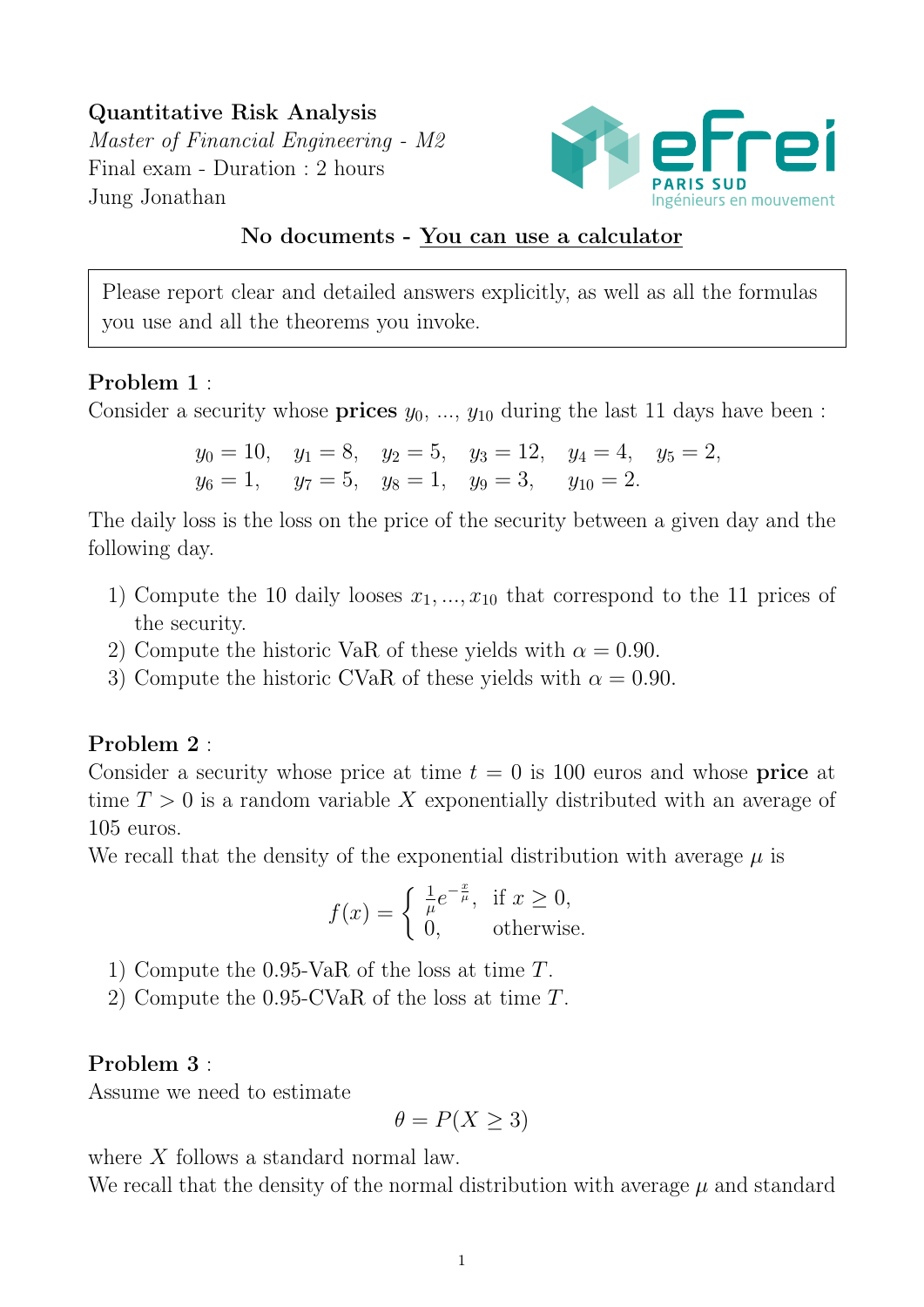Quantitative Risk Analysis Master of Financial Engineering - M2 Final exam - Duration : 2 hours Jung Jonathan



## No documents - You can use a calculator

Please report clear and detailed answers explicitly, as well as all the formulas you use and all the theorems you invoke.

## Problem 1 :

Consider a security whose **prices**  $y_0$ , ...,  $y_{10}$  during the last 11 days have been :

$$
y_0 = 10
$$
,  $y_1 = 8$ ,  $y_2 = 5$ ,  $y_3 = 12$ ,  $y_4 = 4$ ,  $y_5 = 2$ ,  
\n $y_6 = 1$ ,  $y_7 = 5$ ,  $y_8 = 1$ ,  $y_9 = 3$ ,  $y_{10} = 2$ .

The daily loss is the loss on the price of the security between a given day and the following day.

- 1) Compute the 10 daily looses  $x_1, ..., x_{10}$  that correspond to the 11 prices of the security.
- 2) Compute the historic VaR of these yields with  $\alpha = 0.90$ .
- 3) Compute the historic CVaR of these yields with  $\alpha = 0.90$ .

## Problem 2 :

Consider a security whose price at time  $t = 0$  is 100 euros and whose **price** at time  $T > 0$  is a random variable X exponentially distributed with an average of 105 euros.

We recall that the density of the exponential distribution with average  $\mu$  is

$$
f(x) = \begin{cases} \frac{1}{\mu} e^{-\frac{x}{\mu}}, & \text{if } x \ge 0, \\ 0, & \text{otherwise.} \end{cases}
$$

- 1) Compute the 0.95-VaR of the loss at time T.
- 2) Compute the 0.95-CVaR of the loss at time T.

## Problem 3 :

Assume we need to estimate

$$
\theta = P(X \ge 3)
$$

where X follows a standard normal law.

We recall that the density of the normal distribution with average  $\mu$  and standard